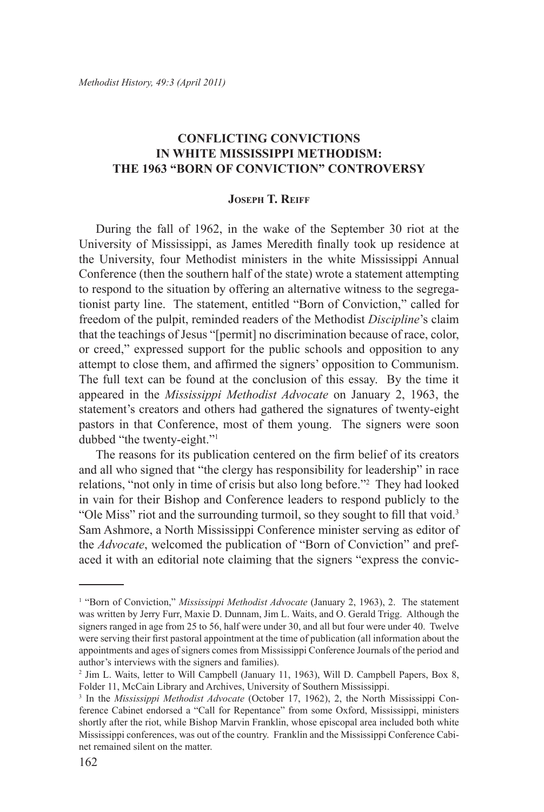## **CONFLICTING CONVICTIONS IN WHITE MISSISSIPPI METHODISM: THE 1963 "BORN OF CONVICTION" CONTROVERSY**

## **Joseph T. Reiff**

During the fall of 1962, in the wake of the September 30 riot at the University of Mississippi, as James Meredith finally took up residence at the University, four Methodist ministers in the white Mississippi Annual Conference (then the southern half of the state) wrote a statement attempting to respond to the situation by offering an alternative witness to the segregationist party line. The statement, entitled "Born of Conviction," called for freedom of the pulpit, reminded readers of the Methodist *Discipline*'s claim that the teachings of Jesus "[permit] no discrimination because of race, color, or creed," expressed support for the public schools and opposition to any attempt to close them, and affirmed the signers' opposition to Communism. The full text can be found at the conclusion of this essay. By the time it appeared in the *Mississippi Methodist Advocate* on January 2, 1963, the statement's creators and others had gathered the signatures of twenty-eight pastors in that Conference, most of them young. The signers were soon dubbed "the twenty-eight."1

The reasons for its publication centered on the firm belief of its creators and all who signed that "the clergy has responsibility for leadership" in race relations, "not only in time of crisis but also long before."2 They had looked in vain for their Bishop and Conference leaders to respond publicly to the "Ole Miss" riot and the surrounding turmoil, so they sought to fill that void.<sup>3</sup> Sam Ashmore, a North Mississippi Conference minister serving as editor of the *Advocate*, welcomed the publication of "Born of Conviction" and prefaced it with an editorial note claiming that the signers "express the convic-

<sup>&</sup>lt;sup>1</sup> "Born of Conviction," *Mississippi Methodist Advocate* (January 2, 1963), 2. The statement was written by Jerry Furr, Maxie D. Dunnam, Jim L. Waits, and O. Gerald Trigg. Although the signers ranged in age from 25 to 56, half were under 30, and all but four were under 40. Twelve were serving their first pastoral appointment at the time of publication (all information about the appointments and ages of signers comes from Mississippi Conference Journals of the period and author's interviews with the signers and families).

<sup>2</sup> Jim L. Waits, letter to Will Campbell (January 11, 1963), Will D. Campbell Papers, Box 8, Folder 11, McCain Library and Archives, University of Southern Mississippi.

<sup>3</sup> In the *Mississippi Methodist Advocate* (October 17, 1962), 2, the North Mississippi Conference Cabinet endorsed a "Call for Repentance" from some Oxford, Mississippi, ministers shortly after the riot, while Bishop Marvin Franklin, whose episcopal area included both white Mississippi conferences, was out of the country. Franklin and the Mississippi Conference Cabinet remained silent on the matter.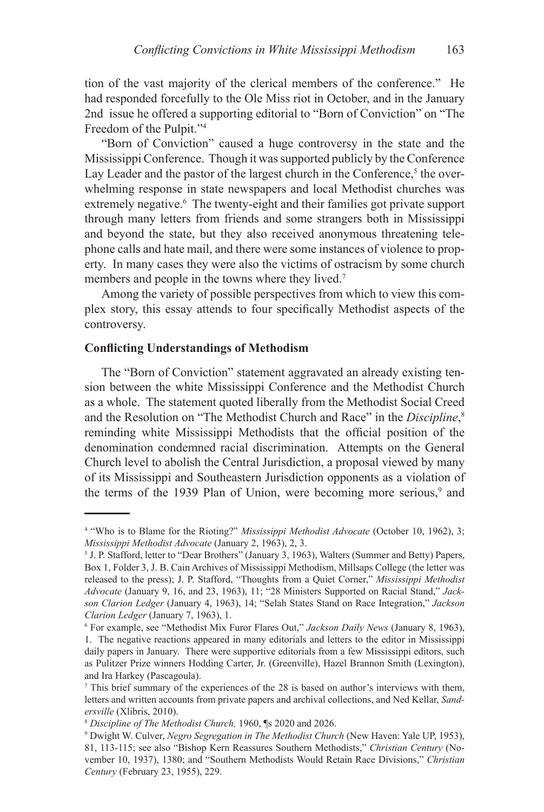tion of the vast majority of the clerical members of the conference." He had responded forcefully to the Ole Miss riot in October, and in the January 2nd issue he offered a supporting editorial to "Born of Conviction" on "The Freedom of the Pulpit."4

"Born of Conviction" caused a huge controversy in the state and the Mississippi Conference. Though it was supported publicly by the Conference Lay Leader and the pastor of the largest church in the Conference,<sup>5</sup> the overwhelming response in state newspapers and local Methodist churches was extremely negative.<sup>6</sup> The twenty-eight and their families got private support through many letters from friends and some strangers both in Mississippi and beyond the state, but they also received anonymous threatening telephone calls and hate mail, and there were some instances of violence to property. In many cases they were also the victims of ostracism by some church members and people in the towns where they lived.<sup>7</sup>

Among the variety of possible perspectives from which to view this complex story, this essay attends to four specifically Methodist aspects of the controversy.

## **Conflicting Understandings of Methodism**

The "Born of Conviction" statement aggravated an already existing tension between the white Mississippi Conference and the Methodist Church as a whole. The statement quoted liberally from the Methodist Social Creed and the Resolution on "The Methodist Church and Race" in the *Discipline*, 8 reminding white Mississippi Methodists that the official position of the denomination condemned racial discrimination. Attempts on the General Church level to abolish the Central Jurisdiction, a proposal viewed by many of its Mississippi and Southeastern Jurisdiction opponents as a violation of the terms of the 1939 Plan of Union, were becoming more serious,<sup>9</sup> and

<sup>4</sup> "Who is to Blame for the Rioting?" *Mississippi Methodist Advocate* (October 10, 1962), 3; *Mississippi Methodist Advocate* (January 2, 1963), 2, 3.

<sup>&</sup>lt;sup>5</sup> J. P. Stafford, letter to "Dear Brothers" (January 3, 1963), Walters (Summer and Betty) Papers, Box 1, Folder 3, J. B. Cain Archives of Mississippi Methodism, Millsaps College (the letter was released to the press); J. P. Stafford, "Thoughts from a Quiet Corner," *Mississippi Methodist Advocate* (January 9, 16, and 23, 1963), 11; "28 Ministers Supported on Racial Stand," *Jackson Clarion Ledger* (January 4, 1963), 14; "Selah States Stand on Race Integration," *Jackson Clarion Ledger* (January 7, 1963), 1.

<sup>6</sup> For example, see "Methodist Mix Furor Flares Out," *Jackson Daily News* (January 8, 1963), 1. The negative reactions appeared in many editorials and letters to the editor in Mississippi daily papers in January. There were supportive editorials from a few Mississippi editors, such as Pulitzer Prize winners Hodding Carter, Jr. (Greenville), Hazel Brannon Smith (Lexington), and Ira Harkey (Pascagoula).

<sup>7</sup> This brief summary of the experiences of the 28 is based on author's interviews with them, letters and written accounts from private papers and archival collections, and Ned Kellar, *Sandersville* (Xlibris, 2010).

<sup>8</sup> *Discipline of The Methodist Church,* 1960, ¶s 2020 and 2026.

<sup>9</sup> Dwight W. Culver, *Negro Segregation in The Methodist Church* (New Haven: Yale UP, 1953), 81, 113-115; see also "Bishop Kern Reassures Southern Methodists," *Christian Century* (November 10, 1937), 1380; and "Southern Methodists Would Retain Race Divisions," *Christian Century* (February 23, 1955), 229.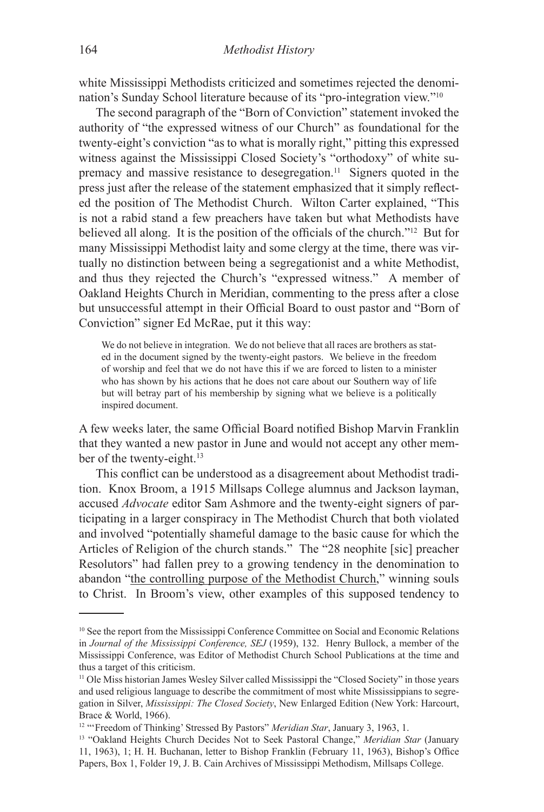white Mississippi Methodists criticized and sometimes rejected the denomination's Sunday School literature because of its "pro-integration view."10

The second paragraph of the "Born of Conviction" statement invoked the authority of "the expressed witness of our Church" as foundational for the twenty-eight's conviction "as to what is morally right," pitting this expressed witness against the Mississippi Closed Society's "orthodoxy" of white supremacy and massive resistance to desegregation.<sup>11</sup> Signers quoted in the press just after the release of the statement emphasized that it simply reflected the position of The Methodist Church. Wilton Carter explained, "This is not a rabid stand a few preachers have taken but what Methodists have believed all along. It is the position of the officials of the church."12 But for many Mississippi Methodist laity and some clergy at the time, there was virtually no distinction between being a segregationist and a white Methodist, and thus they rejected the Church's "expressed witness." A member of Oakland Heights Church in Meridian, commenting to the press after a close but unsuccessful attempt in their Official Board to oust pastor and "Born of Conviction" signer Ed McRae, put it this way:

We do not believe in integration. We do not believe that all races are brothers as stated in the document signed by the twenty-eight pastors.We believe in the freedom of worship and feel that we do not have this if we are forced to listen to a minister who has shown by his actions that he does not care about our Southern way of life but will betray part of his membership by signing what we believe is a politically inspired document.

A few weeks later, the same Official Board notified Bishop Marvin Franklin that they wanted a new pastor in June and would not accept any other member of the twenty-eight.<sup>13</sup>

This conflict can be understood as a disagreement about Methodist tradition. Knox Broom, a 1915 Millsaps College alumnus and Jackson layman, accused *Advocate* editor Sam Ashmore and the twenty-eight signers of participating in a larger conspiracy in The Methodist Church that both violated and involved "potentially shameful damage to the basic cause for which the Articles of Religion of the church stands." The "28 neophite [sic] preacher Resolutors" had fallen prey to a growing tendency in the denomination to abandon "the controlling purpose of the Methodist Church," winning souls to Christ. In Broom's view, other examples of this supposed tendency to

<sup>&</sup>lt;sup>10</sup> See the report from the Mississippi Conference Committee on Social and Economic Relations in *Journal of the Mississippi Conference, SEJ* (1959), 132. Henry Bullock, a member of the Mississippi Conference, was Editor of Methodist Church School Publications at the time and thus a target of this criticism.

<sup>11</sup> Ole Miss historian James Wesley Silver called Mississippi the "Closed Society" in those years and used religious language to describe the commitment of most white Mississippians to segregation in Silver, *Mississippi: The Closed Society*, New Enlarged Edition (New York: Harcourt, Brace & World, 1966).

<sup>&</sup>lt;sup>12</sup> "'Freedom of Thinking' Stressed By Pastors" *Meridian Star*, January 3, 1963, 1.

<sup>13 &</sup>quot;Oakland Heights Church Decides Not to Seek Pastoral Change," *Meridian Star* (January 11, 1963), 1; H. H. Buchanan, letter to Bishop Franklin (February 11, 1963), Bishop's Office Papers, Box 1, Folder 19, J. B. Cain Archives of Mississippi Methodism, Millsaps College.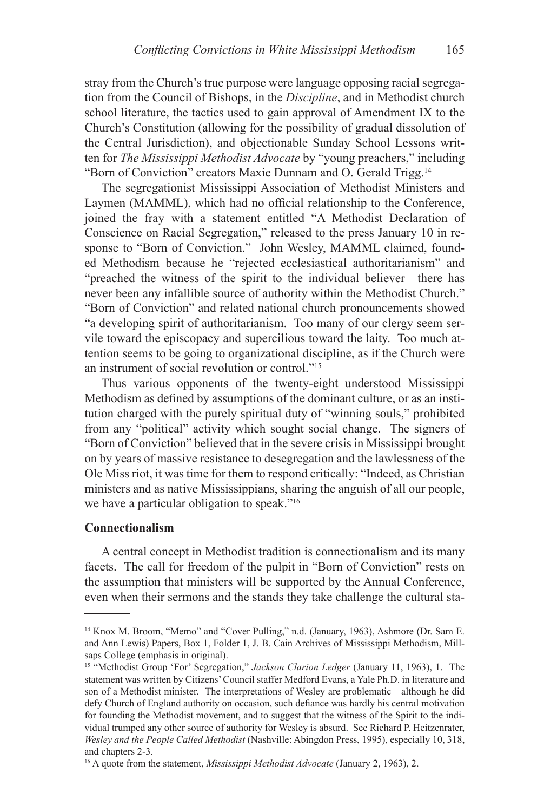stray from the Church's true purpose were language opposing racial segregation from the Council of Bishops, in the *Discipline*, and in Methodist church school literature, the tactics used to gain approval of Amendment IX to the Church's Constitution (allowing for the possibility of gradual dissolution of the Central Jurisdiction), and objectionable Sunday School Lessons written for *The Mississippi Methodist Advocate* by "young preachers," including "Born of Conviction" creators Maxie Dunnam and O. Gerald Trigg.14

The segregationist Mississippi Association of Methodist Ministers and Laymen (MAMML), which had no official relationship to the Conference, joined the fray with a statement entitled "A Methodist Declaration of Conscience on Racial Segregation," released to the press January 10 in response to "Born of Conviction." John Wesley, MAMML claimed, founded Methodism because he "rejected ecclesiastical authoritarianism" and "preached the witness of the spirit to the individual believer—there has never been any infallible source of authority within the Methodist Church." "Born of Conviction" and related national church pronouncements showed "a developing spirit of authoritarianism. Too many of our clergy seem servile toward the episcopacy and supercilious toward the laity. Too much attention seems to be going to organizational discipline, as if the Church were an instrument of social revolution or control."15

Thus various opponents of the twenty-eight understood Mississippi Methodism as defined by assumptions of the dominant culture, or as an institution charged with the purely spiritual duty of "winning souls," prohibited from any "political" activity which sought social change. The signers of "Born of Conviction" believed that in the severe crisis in Mississippi brought on by years of massive resistance to desegregation and the lawlessness of the Ole Miss riot, it was time for them to respond critically: "Indeed, as Christian ministers and as native Mississippians, sharing the anguish of all our people, we have a particular obligation to speak."16

#### **Connectionalism**

A central concept in Methodist tradition is connectionalism and its many facets. The call for freedom of the pulpit in "Born of Conviction" rests on the assumption that ministers will be supported by the Annual Conference, even when their sermons and the stands they take challenge the cultural sta-

<sup>14</sup> Knox M. Broom, "Memo" and "Cover Pulling," n.d. (January, 1963), Ashmore (Dr. Sam E. and Ann Lewis) Papers, Box 1, Folder 1, J. B. Cain Archives of Mississippi Methodism, Millsaps College (emphasis in original).

<sup>15 &</sup>quot;Methodist Group 'For' Segregation," *Jackson Clarion Ledger* (January 11, 1963), 1. The statement was written by Citizens' Council staffer Medford Evans, a Yale Ph.D. in literature and son of a Methodist minister.The interpretations of Wesley are problematic—although he did defy Church of England authority on occasion, such defiance was hardly his central motivation for founding the Methodist movement, and to suggest that the witness of the Spirit to the individual trumped any other source of authority for Wesley is absurd. See Richard P. Heitzenrater, *Wesley and the People Called Methodist* (Nashville: Abingdon Press, 1995), especially 10, 318, and chapters 2-3.

<sup>16</sup> A quote from the statement, *Mississippi Methodist Advocate* (January 2, 1963), 2.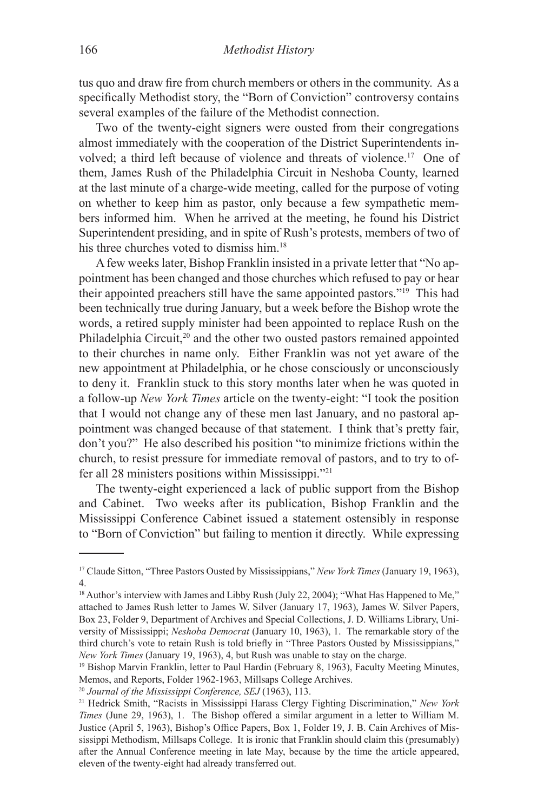tus quo and draw fire from church members or others in the community. As a specifically Methodist story, the "Born of Conviction" controversy contains several examples of the failure of the Methodist connection.

Two of the twenty-eight signers were ousted from their congregations almost immediately with the cooperation of the District Superintendents involved; a third left because of violence and threats of violence.17 One of them, James Rush of the Philadelphia Circuit in Neshoba County, learned at the last minute of a charge-wide meeting, called for the purpose of voting on whether to keep him as pastor, only because a few sympathetic members informed him. When he arrived at the meeting, he found his District Superintendent presiding, and in spite of Rush's protests, members of two of his three churches voted to dismiss him.<sup>18</sup>

A few weeks later, Bishop Franklin insisted in a private letter that "No appointment has been changed and those churches which refused to pay or hear their appointed preachers still have the same appointed pastors."19 This had been technically true during January, but a week before the Bishop wrote the words, a retired supply minister had been appointed to replace Rush on the Philadelphia Circuit,<sup>20</sup> and the other two ousted pastors remained appointed to their churches in name only. Either Franklin was not yet aware of the new appointment at Philadelphia, or he chose consciously or unconsciously to deny it. Franklin stuck to this story months later when he was quoted in a follow-up *New York Times* article on the twenty-eight: "I took the position that I would not change any of these men last January, and no pastoral appointment was changed because of that statement. I think that's pretty fair, don't you?" He also described his position "to minimize frictions within the church, to resist pressure for immediate removal of pastors, and to try to offer all 28 ministers positions within Mississippi."21

The twenty-eight experienced a lack of public support from the Bishop and Cabinet. Two weeks after its publication, Bishop Franklin and the Mississippi Conference Cabinet issued a statement ostensibly in response to "Born of Conviction" but failing to mention it directly. While expressing

<sup>17</sup> Claude Sitton, "Three Pastors Ousted by Mississippians," *New York Times* (January 19, 1963), 4.

<sup>&</sup>lt;sup>18</sup> Author's interview with James and Libby Rush (July 22, 2004); "What Has Happened to Me," attached to James Rush letter to James W. Silver (January 17, 1963), James W. Silver Papers, Box 23, Folder 9, Department of Archives and Special Collections, J. D. Williams Library, University of Mississippi; *Neshoba Democrat* (January 10, 1963), 1. The remarkable story of the third church's vote to retain Rush is told briefly in "Three Pastors Ousted by Mississippians," *New York Times* (January 19, 1963), 4, but Rush was unable to stay on the charge.

<sup>&</sup>lt;sup>19</sup> Bishop Marvin Franklin, letter to Paul Hardin (February 8, 1963), Faculty Meeting Minutes, Memos, and Reports, Folder 1962-1963, Millsaps College Archives.

<sup>20</sup> *Journal of the Mississippi Conference, SEJ* (1963), 113.

<sup>21</sup> Hedrick Smith, "Racists in Mississippi Harass Clergy Fighting Discrimination," *New York Times* (June 29, 1963), 1. The Bishop offered a similar argument in a letter to William M. Justice (April 5, 1963), Bishop's Office Papers, Box 1, Folder 19, J. B. Cain Archives of Mississippi Methodism, Millsaps College. It is ironic that Franklin should claim this (presumably) after the Annual Conference meeting in late May, because by the time the article appeared, eleven of the twenty-eight had already transferred out.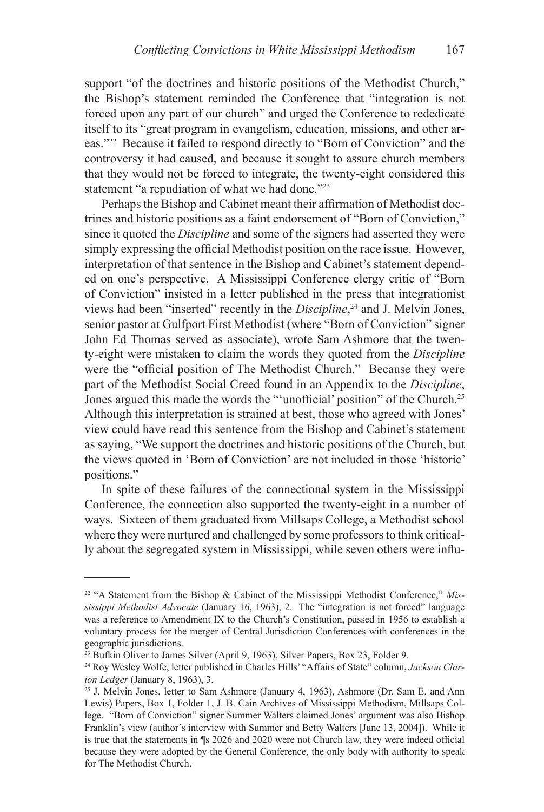support "of the doctrines and historic positions of the Methodist Church," the Bishop's statement reminded the Conference that "integration is not forced upon any part of our church" and urged the Conference to rededicate itself to its "great program in evangelism, education, missions, and other areas."22 Because it failed to respond directly to "Born of Conviction" and the controversy it had caused, and because it sought to assure church members that they would not be forced to integrate, the twenty-eight considered this statement "a repudiation of what we had done."<sup>23</sup>

Perhaps the Bishop and Cabinet meant their affirmation of Methodist doctrines and historic positions as a faint endorsement of "Born of Conviction," since it quoted the *Discipline* and some of the signers had asserted they were simply expressing the official Methodist position on the race issue. However, interpretation of that sentence in the Bishop and Cabinet's statement depended on one's perspective. A Mississippi Conference clergy critic of "Born of Conviction" insisted in a letter published in the press that integrationist views had been "inserted" recently in the *Discipline*, 24 and J. Melvin Jones, senior pastor at Gulfport First Methodist (where "Born of Conviction" signer John Ed Thomas served as associate), wrote Sam Ashmore that the twenty-eight were mistaken to claim the words they quoted from the *Discipline* were the "official position of The Methodist Church." Because they were part of the Methodist Social Creed found in an Appendix to the *Discipline*, Jones argued this made the words the "'unofficial' position" of the Church.<sup>25</sup> Although this interpretation is strained at best, those who agreed with Jones' view could have read this sentence from the Bishop and Cabinet's statement as saying, "We support the doctrines and historic positions of the Church, but the views quoted in 'Born of Conviction' are not included in those 'historic' positions."

In spite of these failures of the connectional system in the Mississippi Conference, the connection also supported the twenty-eight in a number of ways. Sixteen of them graduated from Millsaps College, a Methodist school where they were nurtured and challenged by some professors to think critically about the segregated system in Mississippi, while seven others were influ-

<sup>22 &</sup>quot;A Statement from the Bishop & Cabinet of the Mississippi Methodist Conference," *Mississippi Methodist Advocate* (January 16, 1963), 2. The "integration is not forced" language was a reference to Amendment IX to the Church's Constitution, passed in 1956 to establish a voluntary process for the merger of Central Jurisdiction Conferences with conferences in the geographic jurisdictions.

<sup>&</sup>lt;sup>23</sup> Bufkin Oliver to James Silver (April 9, 1963), Silver Papers, Box 23, Folder 9.

<sup>24</sup> Roy Wesley Wolfe, letter published in Charles Hills' "Affairs of State" column, *Jackson Clarion Ledger* (January 8, 1963), 3.

 $25$  J. Melvin Jones, letter to Sam Ashmore (January 4, 1963), Ashmore (Dr. Sam E. and Ann Lewis) Papers, Box 1, Folder 1, J. B. Cain Archives of Mississippi Methodism, Millsaps College. "Born of Conviction" signer Summer Walters claimed Jones' argument was also Bishop Franklin's view (author's interview with Summer and Betty Walters [June 13, 2004]). While it is true that the statements in ¶s 2026 and 2020 were not Church law, they were indeed official because they were adopted by the General Conference, the only body with authority to speak for The Methodist Church.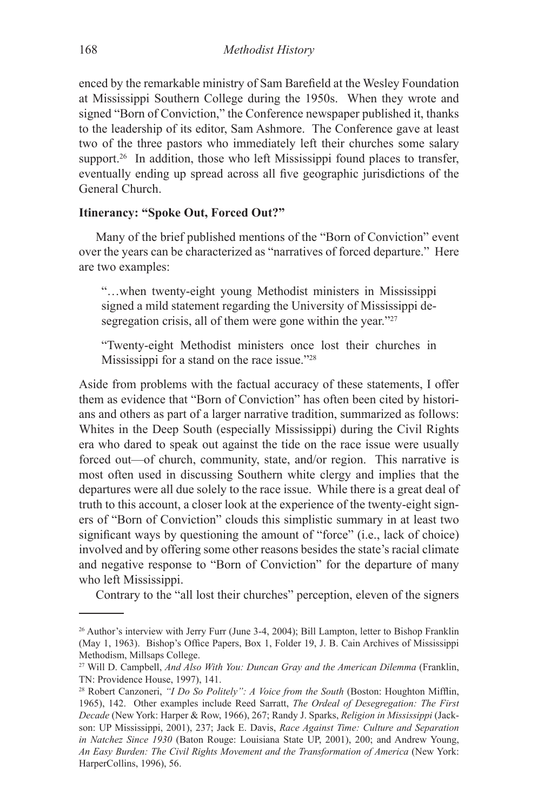enced by the remarkable ministry of Sam Barefield at the Wesley Foundation at Mississippi Southern College during the 1950s. When they wrote and signed "Born of Conviction," the Conference newspaper published it, thanks to the leadership of its editor, Sam Ashmore. The Conference gave at least two of the three pastors who immediately left their churches some salary support.<sup>26</sup> In addition, those who left Mississippi found places to transfer, eventually ending up spread across all five geographic jurisdictions of the General Church.

#### **Itinerancy: "Spoke Out, Forced Out?"**

Many of the brief published mentions of the "Born of Conviction" event over the years can be characterized as "narratives of forced departure." Here are two examples:

"…when twenty-eight young Methodist ministers in Mississippi signed a mild statement regarding the University of Mississippi desegregation crisis, all of them were gone within the year."<sup>27</sup>

"Twenty-eight Methodist ministers once lost their churches in Mississippi for a stand on the race issue."28

Aside from problems with the factual accuracy of these statements, I offer them as evidence that "Born of Conviction" has often been cited by historians and others as part of a larger narrative tradition, summarized as follows: Whites in the Deep South (especially Mississippi) during the Civil Rights era who dared to speak out against the tide on the race issue were usually forced out—of church, community, state, and/or region. This narrative is most often used in discussing Southern white clergy and implies that the departures were all due solely to the race issue. While there is a great deal of truth to this account, a closer look at the experience of the twenty-eight signers of "Born of Conviction" clouds this simplistic summary in at least two significant ways by questioning the amount of "force" (i.e., lack of choice) involved and by offering some other reasons besides the state's racial climate and negative response to "Born of Conviction" for the departure of many who left Mississippi.

Contrary to the "all lost their churches" perception, eleven of the signers

<sup>26</sup> Author's interview with Jerry Furr (June 3-4, 2004); Bill Lampton, letter to Bishop Franklin (May 1, 1963). Bishop's Office Papers, Box 1, Folder 19, J. B. Cain Archives of Mississippi Methodism, Millsaps College.

<sup>27</sup> Will D. Campbell, *And Also With You: Duncan Gray and the American Dilemma* (Franklin, TN: Providence House, 1997), 141.

<sup>28</sup> Robert Canzoneri, *"I Do So Politely": A Voice from the South* (Boston: Houghton Mifflin, 1965), 142. Other examples include Reed Sarratt, *The Ordeal of Desegregation: The First Decade* (New York: Harper & Row, 1966), 267; Randy J. Sparks, *Religion in Mississippi* (Jackson: UP Mississippi, 2001), 237; Jack E. Davis, *Race Against Time: Culture and Separation in Natchez Since 1930* (Baton Rouge: Louisiana State UP, 2001), 200; and Andrew Young, *An Easy Burden: The Civil Rights Movement and the Transformation of America* (New York: HarperCollins, 1996), 56.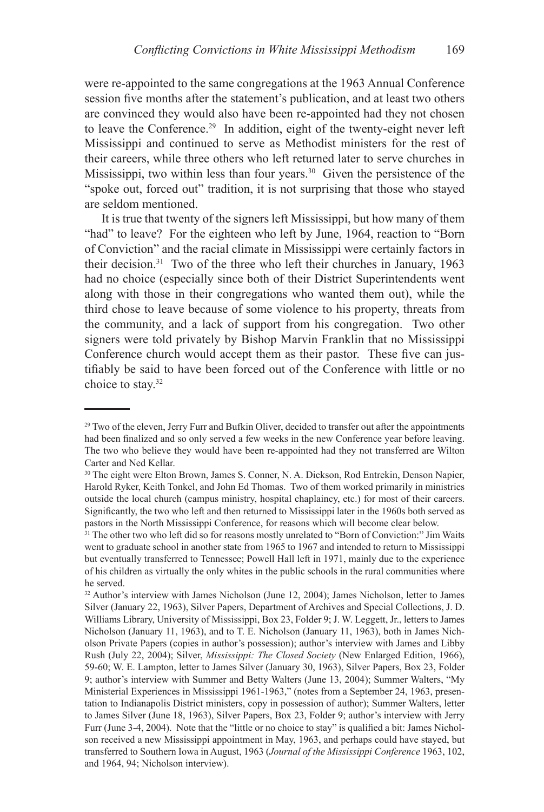were re-appointed to the same congregations at the 1963 Annual Conference session five months after the statement's publication, and at least two others are convinced they would also have been re-appointed had they not chosen to leave the Conference.29 In addition, eight of the twenty-eight never left Mississippi and continued to serve as Methodist ministers for the rest of their careers, while three others who left returned later to serve churches in Mississippi, two within less than four years.<sup>30</sup> Given the persistence of the "spoke out, forced out" tradition, it is not surprising that those who stayed are seldom mentioned.

It is true that twenty of the signers left Mississippi, but how many of them "had" to leave? For the eighteen who left by June, 1964, reaction to "Born" of Conviction" and the racial climate in Mississippi were certainly factors in their decision.31 Two of the three who left their churches in January, 1963 had no choice (especially since both of their District Superintendents went along with those in their congregations who wanted them out), while the third chose to leave because of some violence to his property, threats from the community, and a lack of support from his congregation. Two other signers were told privately by Bishop Marvin Franklin that no Mississippi Conference church would accept them as their pastor. These five can justifiably be said to have been forced out of the Conference with little or no choice to stay.32

<sup>&</sup>lt;sup>29</sup> Two of the eleven, Jerry Furr and Bufkin Oliver, decided to transfer out after the appointments had been finalized and so only served a few weeks in the new Conference year before leaving. The two who believe they would have been re-appointed had they not transferred are Wilton Carter and Ned Kellar.

<sup>&</sup>lt;sup>30</sup> The eight were Elton Brown, James S. Conner, N. A. Dickson, Rod Entrekin, Denson Napier, Harold Ryker, Keith Tonkel, and John Ed Thomas. Two of them worked primarily in ministries outside the local church (campus ministry, hospital chaplaincy, etc.) for most of their careers. Significantly, the two who left and then returned to Mississippi later in the 1960s both served as pastors in the North Mississippi Conference, for reasons which will become clear below.

<sup>&</sup>lt;sup>31</sup> The other two who left did so for reasons mostly unrelated to "Born of Conviction:" Jim Waits went to graduate school in another state from 1965 to 1967 and intended to return to Mississippi but eventually transferred to Tennessee; Powell Hall left in 1971, mainly due to the experience of his children as virtually the only whites in the public schools in the rural communities where he served.

<sup>&</sup>lt;sup>32</sup> Author's interview with James Nicholson (June 12, 2004); James Nicholson, letter to James Silver (January 22, 1963), Silver Papers, Department of Archives and Special Collections, J. D. Williams Library, University of Mississippi, Box 23, Folder 9; J. W. Leggett, Jr., letters to James Nicholson (January 11, 1963), and to T. E. Nicholson (January 11, 1963), both in James Nicholson Private Papers (copies in author's possession); author's interview with James and Libby Rush (July 22, 2004); Silver, *Mississippi: The Closed Society* (New Enlarged Edition, 1966), 59-60; W. E. Lampton, letter to James Silver (January 30, 1963), Silver Papers, Box 23, Folder 9; author's interview with Summer and Betty Walters (June 13, 2004); Summer Walters, "My Ministerial Experiences in Mississippi 1961-1963," (notes from a September 24, 1963, presentation to Indianapolis District ministers, copy in possession of author); Summer Walters, letter to James Silver (June 18, 1963), Silver Papers, Box 23, Folder 9; author's interview with Jerry Furr (June 3-4, 2004). Note that the "little or no choice to stay" is qualified a bit: James Nicholson received a new Mississippi appointment in May, 1963, and perhaps could have stayed, but transferred to Southern Iowa in August, 1963 (*Journal of the Mississippi Conference* 1963, 102, and 1964, 94; Nicholson interview).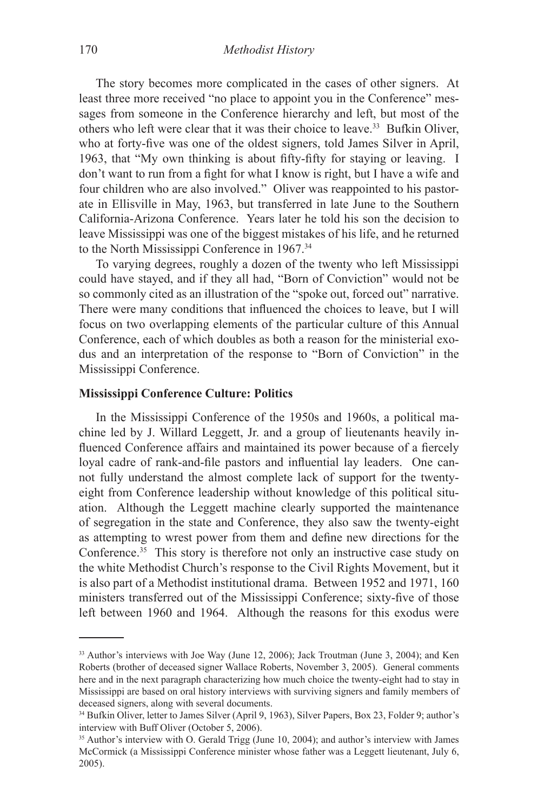The story becomes more complicated in the cases of other signers. At least three more received "no place to appoint you in the Conference" messages from someone in the Conference hierarchy and left, but most of the others who left were clear that it was their choice to leave.33 Bufkin Oliver, who at forty-five was one of the oldest signers, told James Silver in April, 1963, that "My own thinking is about fifty-fifty for staying or leaving. I don't want to run from a fight for what I know is right, but I have a wife and four children who are also involved." Oliver was reappointed to his pastorate in Ellisville in May, 1963, but transferred in late June to the Southern California-Arizona Conference. Years later he told his son the decision to leave Mississippi was one of the biggest mistakes of his life, and he returned to the North Mississippi Conference in 1967.<sup>34</sup>

To varying degrees, roughly a dozen of the twenty who left Mississippi could have stayed, and if they all had, "Born of Conviction" would not be so commonly cited as an illustration of the "spoke out, forced out" narrative. There were many conditions that influenced the choices to leave, but I will focus on two overlapping elements of the particular culture of this Annual Conference, each of which doubles as both a reason for the ministerial exodus and an interpretation of the response to "Born of Conviction" in the Mississippi Conference.

#### **Mississippi Conference Culture: Politics**

In the Mississippi Conference of the 1950s and 1960s, a political machine led by J. Willard Leggett, Jr. and a group of lieutenants heavily influenced Conference affairs and maintained its power because of a fiercely loyal cadre of rank-and-file pastors and influential lay leaders. One cannot fully understand the almost complete lack of support for the twentyeight from Conference leadership without knowledge of this political situation. Although the Leggett machine clearly supported the maintenance of segregation in the state and Conference, they also saw the twenty-eight as attempting to wrest power from them and define new directions for the Conference.<sup>35</sup> This story is therefore not only an instructive case study on the white Methodist Church's response to the Civil Rights Movement, but it is also part of a Methodist institutional drama. Between 1952 and 1971, 160 ministers transferred out of the Mississippi Conference; sixty-five of those left between 1960 and 1964. Although the reasons for this exodus were

<sup>&</sup>lt;sup>33</sup> Author's interviews with Joe Way (June 12, 2006); Jack Troutman (June 3, 2004); and Ken Roberts (brother of deceased signer Wallace Roberts, November 3, 2005). General comments here and in the next paragraph characterizing how much choice the twenty-eight had to stay in Mississippi are based on oral history interviews with surviving signers and family members of deceased signers, along with several documents.

<sup>&</sup>lt;sup>34</sup> Bufkin Oliver, letter to James Silver (April 9, 1963), Silver Papers, Box 23, Folder 9; author's interview with Buff Oliver (October 5, 2006).

<sup>&</sup>lt;sup>35</sup> Author's interview with O. Gerald Trigg (June 10, 2004); and author's interview with James McCormick (a Mississippi Conference minister whose father was a Leggett lieutenant, July 6, 2005).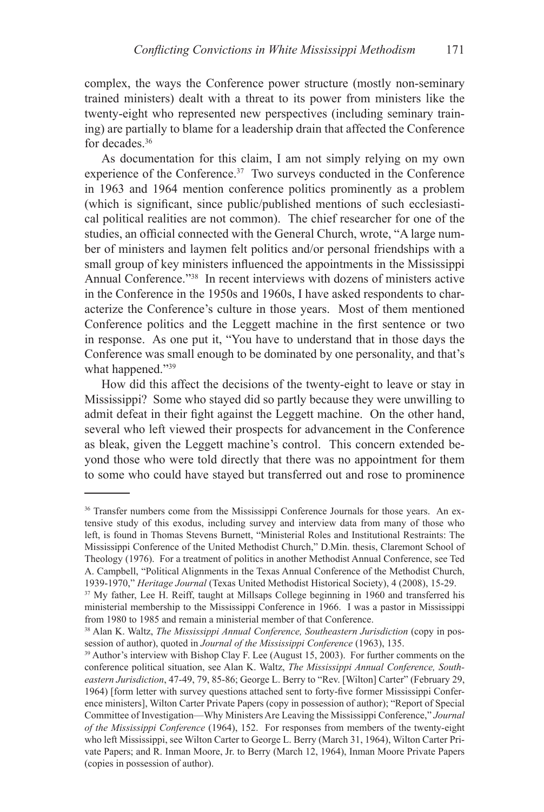complex, the ways the Conference power structure (mostly non-seminary trained ministers) dealt with a threat to its power from ministers like the twenty-eight who represented new perspectives (including seminary training) are partially to blame for a leadership drain that affected the Conference for decades.<sup>36</sup>

As documentation for this claim, I am not simply relying on my own experience of the Conference.<sup>37</sup> Two surveys conducted in the Conference in 1963 and 1964 mention conference politics prominently as a problem (which is significant, since public/published mentions of such ecclesiastical political realities are not common). The chief researcher for one of the studies, an official connected with the General Church, wrote, "A large number of ministers and laymen felt politics and/or personal friendships with a small group of key ministers influenced the appointments in the Mississippi Annual Conference."38 In recent interviews with dozens of ministers active in the Conference in the 1950s and 1960s, I have asked respondents to characterize the Conference's culture in those years. Most of them mentioned Conference politics and the Leggett machine in the first sentence or two in response. As one put it, "You have to understand that in those days the Conference was small enough to be dominated by one personality, and that's what happened."<sup>39</sup>

How did this affect the decisions of the twenty-eight to leave or stay in Mississippi? Some who stayed did so partly because they were unwilling to admit defeat in their fight against the Leggett machine. On the other hand, several who left viewed their prospects for advancement in the Conference as bleak, given the Leggett machine's control. This concern extended beyond those who were told directly that there was no appointment for them to some who could have stayed but transferred out and rose to prominence

<sup>&</sup>lt;sup>36</sup> Transfer numbers come from the Mississippi Conference Journals for those years. An extensive study of this exodus, including survey and interview data from many of those who left, is found in Thomas Stevens Burnett, "Ministerial Roles and Institutional Restraints: The Mississippi Conference of the United Methodist Church," D.Min. thesis, Claremont School of Theology (1976). For a treatment of politics in another Methodist Annual Conference, see Ted A. Campbell, "Political Alignments in the Texas Annual Conference of the Methodist Church, 1939-1970," *Heritage Journal* (Texas United Methodist Historical Society), 4 (2008), 15-29.

<sup>&</sup>lt;sup>37</sup> My father, Lee H. Reiff, taught at Millsaps College beginning in 1960 and transferred his ministerial membership to the Mississippi Conference in 1966. I was a pastor in Mississippi from 1980 to 1985 and remain a ministerial member of that Conference.

<sup>38</sup> Alan K. Waltz, *The Mississippi Annual Conference, Southeastern Jurisdiction* (copy in possession of author), quoted in *Journal of the Mississippi Conference* (1963), 135.

<sup>&</sup>lt;sup>39</sup> Author's interview with Bishop Clay F. Lee (August 15, 2003). For further comments on the conference political situation, see Alan K. Waltz, *The Mississippi Annual Conference, Southeastern Jurisdiction*, 47-49, 79, 85-86; George L. Berry to "Rev. [Wilton] Carter" (February 29, 1964) [form letter with survey questions attached sent to forty-five former Mississippi Conference ministers], Wilton Carter Private Papers (copy in possession of author); "Report of Special Committee of Investigation—Why Ministers Are Leaving the Mississippi Conference," *Journal of the Mississippi Conference* (1964), 152. For responses from members of the twenty-eight who left Mississippi, see Wilton Carter to George L. Berry (March 31, 1964), Wilton Carter Private Papers; and R. Inman Moore, Jr. to Berry (March 12, 1964), Inman Moore Private Papers (copies in possession of author).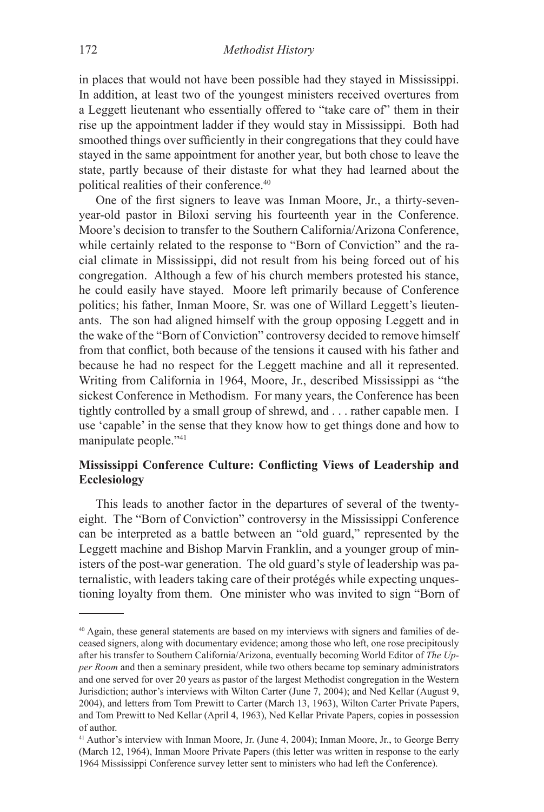in places that would not have been possible had they stayed in Mississippi. In addition, at least two of the youngest ministers received overtures from a Leggett lieutenant who essentially offered to "take care of" them in their rise up the appointment ladder if they would stay in Mississippi. Both had smoothed things over sufficiently in their congregations that they could have stayed in the same appointment for another year, but both chose to leave the state, partly because of their distaste for what they had learned about the political realities of their conference.40

One of the first signers to leave was Inman Moore, Jr., a thirty-sevenyear-old pastor in Biloxi serving his fourteenth year in the Conference. Moore's decision to transfer to the Southern California/Arizona Conference, while certainly related to the response to "Born of Conviction" and the racial climate in Mississippi, did not result from his being forced out of his congregation. Although a few of his church members protested his stance, he could easily have stayed. Moore left primarily because of Conference politics; his father, Inman Moore, Sr. was one of Willard Leggett's lieutenants. The son had aligned himself with the group opposing Leggett and in the wake of the "Born of Conviction" controversy decided to remove himself from that conflict, both because of the tensions it caused with his father and because he had no respect for the Leggett machine and all it represented. Writing from California in 1964, Moore, Jr., described Mississippi as "the sickest Conference in Methodism. For many years, the Conference has been tightly controlled by a small group of shrewd, and . . . rather capable men. I use 'capable' in the sense that they know how to get things done and how to manipulate people."41

# **Mississippi Conference Culture: Conflicting Views of Leadership and Ecclesiology**

This leads to another factor in the departures of several of the twentyeight. The "Born of Conviction" controversy in the Mississippi Conference can be interpreted as a battle between an "old guard," represented by the Leggett machine and Bishop Marvin Franklin, and a younger group of ministers of the post-war generation. The old guard's style of leadership was paternalistic, with leaders taking care of their protégés while expecting unquestioning loyalty from them. One minister who was invited to sign "Born of

<sup>40</sup> Again, these general statements are based on my interviews with signers and families of deceased signers, along with documentary evidence; among those who left, one rose precipitously after his transfer to Southern California/Arizona, eventually becoming World Editor of *The Upper Room* and then a seminary president, while two others became top seminary administrators and one served for over 20 years as pastor of the largest Methodist congregation in the Western Jurisdiction; author's interviews with Wilton Carter (June 7, 2004); and Ned Kellar (August 9, 2004), and letters from Tom Prewitt to Carter (March 13, 1963), Wilton Carter Private Papers, and Tom Prewitt to Ned Kellar (April 4, 1963), Ned Kellar Private Papers, copies in possession of author.

<sup>41</sup> Author's interview with Inman Moore, Jr. (June 4, 2004); Inman Moore, Jr., to George Berry (March 12, 1964), Inman Moore Private Papers (this letter was written in response to the early 1964 Mississippi Conference survey letter sent to ministers who had left the Conference).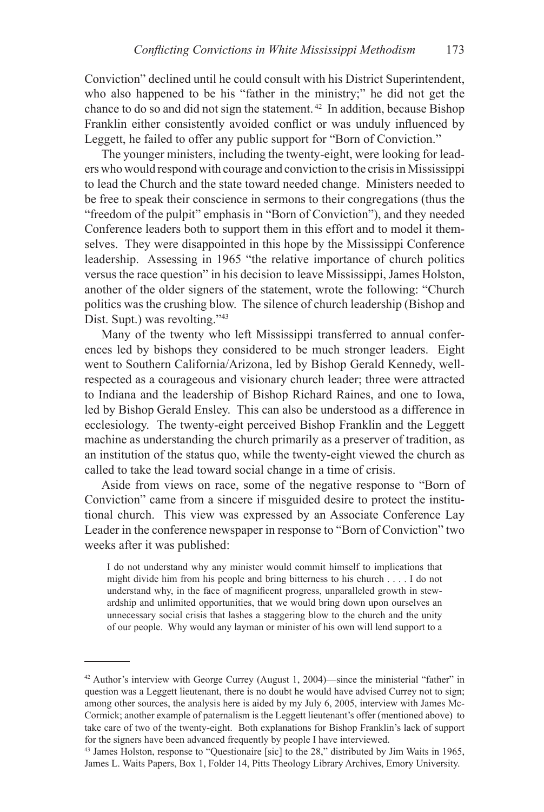Conviction" declined until he could consult with his District Superintendent, who also happened to be his "father in the ministry;" he did not get the chance to do so and did not sign the statement. 42 In addition, because Bishop Franklin either consistently avoided conflict or was unduly influenced by Leggett, he failed to offer any public support for "Born of Conviction."

The younger ministers, including the twenty-eight, were looking for leaders who would respond with courage and conviction to the crisis in Mississippi to lead the Church and the state toward needed change. Ministers needed to be free to speak their conscience in sermons to their congregations (thus the "freedom of the pulpit" emphasis in "Born of Conviction"), and they needed Conference leaders both to support them in this effort and to model it themselves. They were disappointed in this hope by the Mississippi Conference leadership. Assessing in 1965 "the relative importance of church politics versus the race question" in his decision to leave Mississippi, James Holston, another of the older signers of the statement, wrote the following: "Church politics was the crushing blow. The silence of church leadership (Bishop and Dist. Supt.) was revolting."43

Many of the twenty who left Mississippi transferred to annual conferences led by bishops they considered to be much stronger leaders. Eight went to Southern California/Arizona, led by Bishop Gerald Kennedy, wellrespected as a courageous and visionary church leader; three were attracted to Indiana and the leadership of Bishop Richard Raines, and one to Iowa, led by Bishop Gerald Ensley. This can also be understood as a difference in ecclesiology. The twenty-eight perceived Bishop Franklin and the Leggett machine as understanding the church primarily as a preserver of tradition, as an institution of the status quo, while the twenty-eight viewed the church as called to take the lead toward social change in a time of crisis.

Aside from views on race, some of the negative response to "Born of Conviction" came from a sincere if misguided desire to protect the institutional church. This view was expressed by an Associate Conference Lay Leader in the conference newspaper in response to "Born of Conviction" two weeks after it was published:

I do not understand why any minister would commit himself to implications that might divide him from his people and bring bitterness to his church . . . . I do not understand why, in the face of magnificent progress, unparalleled growth in stewardship and unlimited opportunities, that we would bring down upon ourselves an unnecessary social crisis that lashes a staggering blow to the church and the unity of our people. Why would any layman or minister of his own will lend support to a

 $42$  Author's interview with George Currey (August 1, 2004)—since the ministerial "father" in question was a Leggett lieutenant, there is no doubt he would have advised Currey not to sign; among other sources, the analysis here is aided by my July 6, 2005, interview with James Mc-Cormick; another example of paternalism is the Leggett lieutenant's offer (mentioned above) to take care of two of the twenty-eight. Both explanations for Bishop Franklin's lack of support for the signers have been advanced frequently by people I have interviewed.

<sup>43</sup> James Holston, response to "Questionaire [sic] to the 28," distributed by Jim Waits in 1965, James L. Waits Papers, Box 1, Folder 14, Pitts Theology Library Archives, Emory University.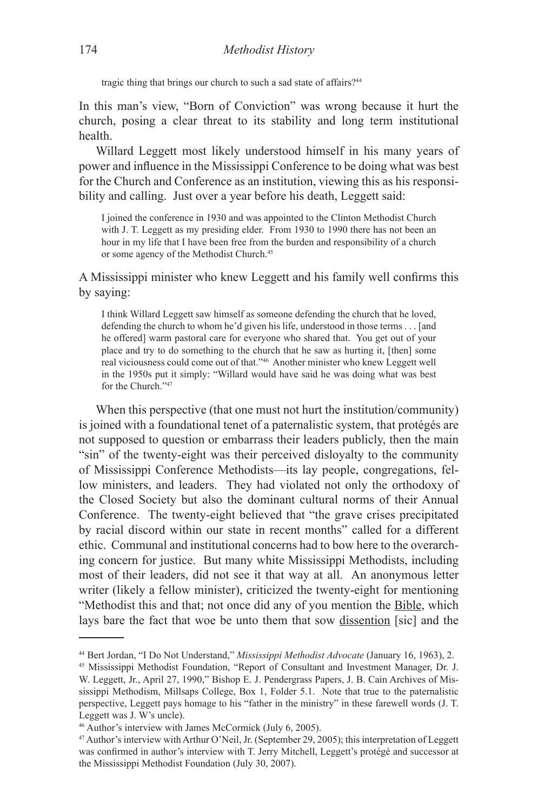tragic thing that brings our church to such a sad state of affairs?<sup>44</sup>

In this man's view, "Born of Conviction" was wrong because it hurt the church, posing a clear threat to its stability and long term institutional health.

Willard Leggett most likely understood himself in his many years of power and influence in the Mississippi Conference to be doing what was best for the Church and Conference as an institution, viewing this as his responsibility and calling. Just over a year before his death, Leggett said:

I joined the conference in 1930 and was appointed to the Clinton Methodist Church with J. T. Leggett as my presiding elder. From 1930 to 1990 there has not been an hour in my life that I have been free from the burden and responsibility of a church or some agency of the Methodist Church.<sup>45</sup>

A Mississippi minister who knew Leggett and his family well confirms this by saying:

I think Willard Leggett saw himself as someone defending the church that he loved, defending the church to whom he'd given his life, understood in those terms . . . [and he offered] warm pastoral care for everyone who shared that. You get out of your place and try to do something to the church that he saw as hurting it, [then] some real viciousness could come out of that."46 Another minister who knew Leggett well in the 1950s put it simply: "Willard would have said he was doing what was best for the Church."47

When this perspective (that one must not hurt the institution/community) is joined with a foundational tenet of a paternalistic system, that protégés are not supposed to question or embarrass their leaders publicly, then the main "sin" of the twenty-eight was their perceived disloyalty to the community of Mississippi Conference Methodists—its lay people, congregations, fellow ministers, and leaders. They had violated not only the orthodoxy of the Closed Society but also the dominant cultural norms of their Annual Conference. The twenty-eight believed that "the grave crises precipitated by racial discord within our state in recent months" called for a different ethic. Communal and institutional concerns had to bow here to the overarching concern for justice. But many white Mississippi Methodists, including most of their leaders, did not see it that way at all. An anonymous letter writer (likely a fellow minister), criticized the twenty-eight for mentioning "Methodist this and that; not once did any of you mention the Bible, which lays bare the fact that woe be unto them that sow dissention [sic] and the

<sup>44</sup> Bert Jordan, "I Do Not Understand," *Mississippi Methodist Advocate* (January 16, 1963), 2.

<sup>45</sup> Mississippi Methodist Foundation, "Report of Consultant and Investment Manager, Dr. J. W. Leggett, Jr., April 27, 1990," Bishop E. J. Pendergrass Papers, J. B. Cain Archives of Mississippi Methodism, Millsaps College, Box 1, Folder 5.1. Note that true to the paternalistic perspective, Leggett pays homage to his "father in the ministry" in these farewell words (J. T. Leggett was J. W's uncle).

<sup>46</sup> Author's interview with James McCormick (July 6, 2005).

<sup>47</sup> Author's interview with Arthur O'Neil, Jr. (September 29, 2005); this interpretation of Leggett was confirmed in author's interview with T. Jerry Mitchell, Leggett's protégé and successor at the Mississippi Methodist Foundation (July 30, 2007).